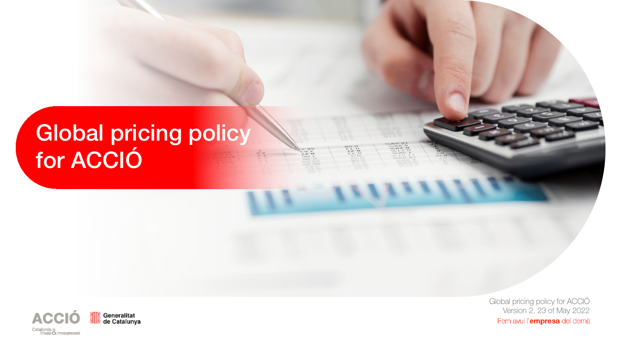# Global pricing policy for ACCIÓ

Global pricing policy for ACCIÓ Version 2, 23 of May 2022 Fem avui l'empresa del demà

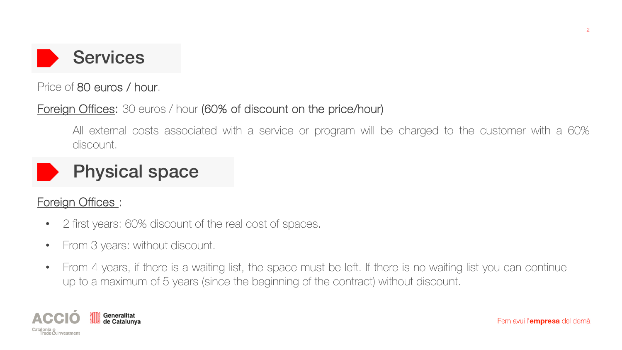

Price of 80 euros / hour.

### Foreign Offices: 30 euros / hour (60% of discount on the price/hour)

All external costs associated with a service or program will be charged to the customer with a 60% discount.



### Physical space

### Foreign Offices:

- 2 first years: 60% discount of the real cost of spaces.
- From 3 years: without discount.
- From 4 years, if there is a waiting list, the space must be left. If there is no waiting list you can continue up to a maximum of 5 years (since the beginning of the contract) without discount.

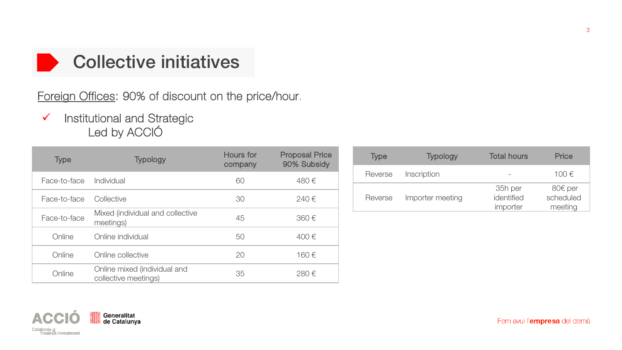

## Collective initiatives

Foreign Offices: 90% of discount on the price/hour.

 $\checkmark$  Institutional and Strategic Led by ACCIÓ

| <b>Type</b>  | <b>Typology</b>                                      | Hours for<br>company | <b>Proposal Price</b><br>90% Subsidy |
|--------------|------------------------------------------------------|----------------------|--------------------------------------|
| Face-to-face | Individual                                           | 60                   | 480€                                 |
| Face-to-face | Collective                                           | 30                   | 240€                                 |
| Face-to-face | Mixed (individual and collective<br>meetings)        | 45                   | 360€                                 |
| Online       | Online individual                                    | 50                   | 400€                                 |
| Online       | Online collective                                    |                      | 160€                                 |
| Online       | Online mixed (individual and<br>collective meetings) | 35                   | 280€                                 |

| Type    | <b>Typology</b>  | <b>Total hours</b>                | Price                           |
|---------|------------------|-----------------------------------|---------------------------------|
| Reverse | Inscription      |                                   | 100€                            |
| Reverse | Importer meeting | 35h per<br>identified<br>importer | 80€ per<br>scheduled<br>meeting |

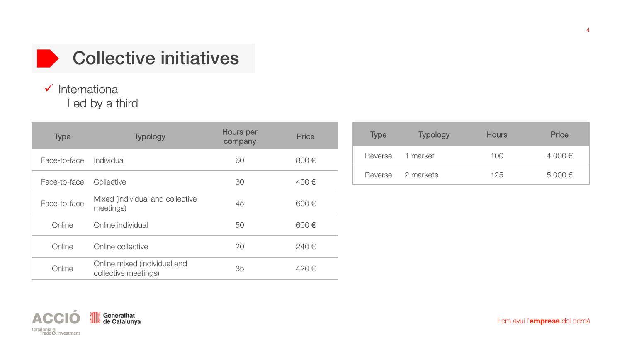

## Collective initiatives

### $\checkmark$  International Led by a third

| <b>Type</b>                 | <b>Typology</b>                                      | Hours per<br>company | Price |
|-----------------------------|------------------------------------------------------|----------------------|-------|
| Face-to-face                | Individual                                           | 60                   | 800€  |
| Face-to-face                | Collective                                           | 30                   | 400€  |
| Face-to-face                | Mixed (individual and collective<br>meetings)        | 45                   | 600€  |
| Online                      | Online individual                                    |                      | 600€  |
| Online<br>Online collective |                                                      | 20                   | 240€  |
| Online                      | Online mixed (individual and<br>collective meetings) | 35                   | 420€  |

| <b>Type</b> | <b>Typology</b>   | <b>Hours</b> | Price       |
|-------------|-------------------|--------------|-------------|
|             | Reverse 1 market  | 100          | 4.000€      |
|             | Reverse 2 markets | 125          | $5,000 \in$ |

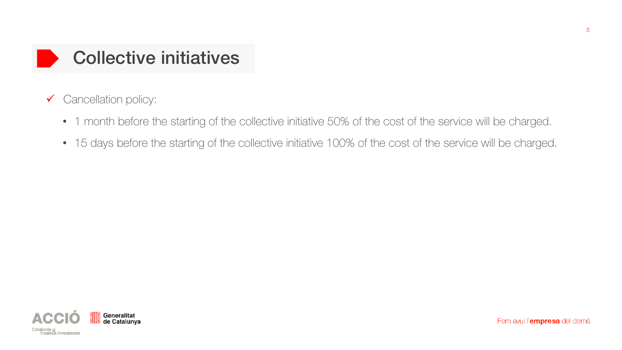

- Gancellation policy:
	- 1 month before the starting of the collective initiative 50% of the cost of the service will be charged.
	- 15 days before the starting of the collective initiative 100% of the cost of the service will be charged.

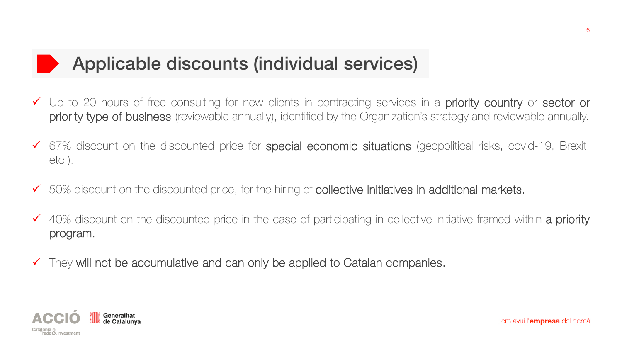## Applicable discounts (individual services)

- Up to 20 hours of free consulting for new clients in contracting services in a **priority country** or **sector or** priority type of business (reviewable annually), identified by the Organization's strategy and reviewable annually.
- 67% discount on the discounted price for **special economic situations** (geopolitical risks, covid-19, Brexit, etc.).
- 50% discount on the discounted price, for the hiring of collective initiatives in additional markets.
- 40% discount on the discounted price in the case of participating in collective initiative framed within a priority program.
- They will not be accumulative and can only be applied to Catalan companies.



6